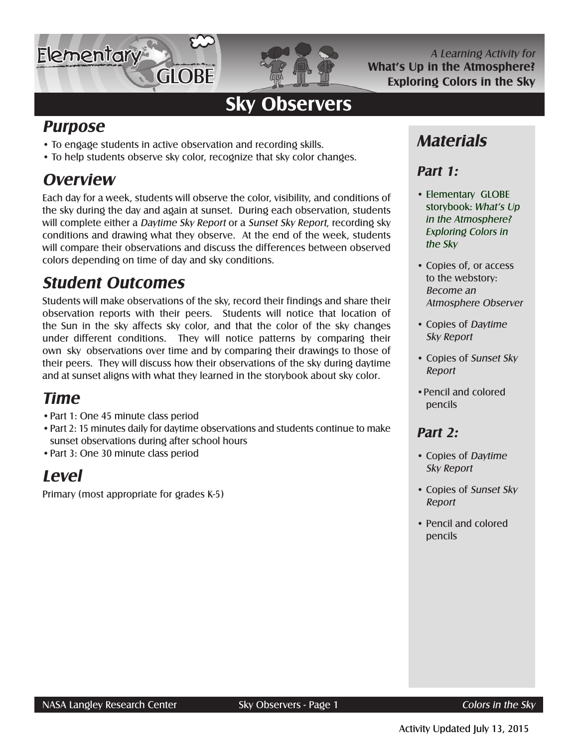

A Learning Activity for **What's Up in the Atmosphere? Exploring Colors in the Sky**

# **Sky Observers**

**GLOBE** 

- To engage students in active observation and recording skills.
- To help students observe sky color, recognize that sky color changes.

### **Overview**

**Purpose**

**Elementary** 

Each day for a week, students will observe the color, visibility, and conditions of the sky during the day and again at sunset. During each observation, students will complete either a Daytime Sky Report or a Sunset Sky Report, recording sky conditions and drawing what they observe. At the end of the week, students will compare their observations and discuss the differences between observed colors depending on time of day and sky conditions.

### **Student Outcomes**

Students will make observations of the sky, record their findings and share their observation reports with their peers. Students will notice that location of the Sun in the sky affects sky color, and that the color of the sky changes under different conditions. They will notice patterns by comparing their own sky observations over time and by comparing their drawings to those of their peers. They will discuss how their observations of the sky during daytime and at sunset aligns with what they learned in the storybook about sky color.

### **Time**

- •Part 1: One 45 minute class period
- •Part 2: 15 minutes daily for daytime observations and students continue to make sunset observations during after school hours
- •Part 3: One 30 minute class period

### **Level**

Primary (most appropriate for grades K-5)

### **Materials**

#### **Part 1:**

- Elementary GLOBE storybook: What's Up in the Atmosphere? Exploring Colors in the Sky
- Copies of, or access to the webstory: Become an Atmosphere Observer
- Copies of Daytime Sky Report
- Copies of Sunset Sky Report
- •Pencil and colored pencils

#### **Part 2:**

- Copies of Daytime Sky Report
- Copies of Sunset Sky Report
- Pencil and colored pencils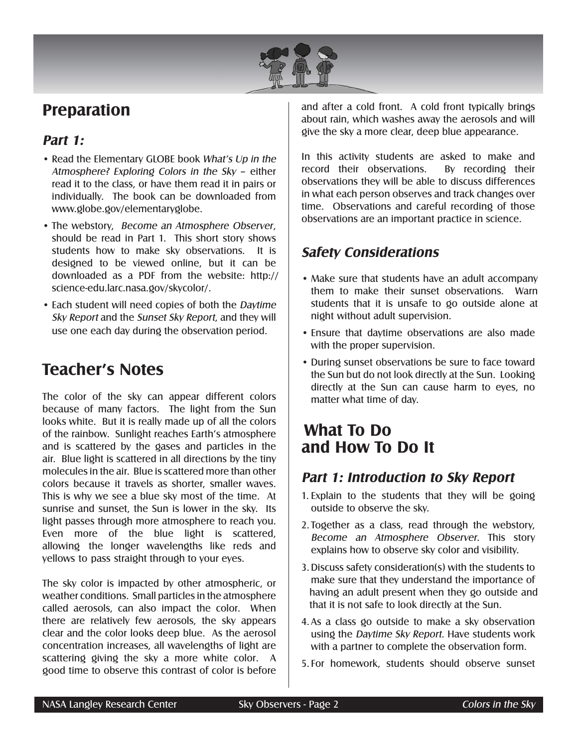

### **Preparation**

#### **Part 1:**

- Read the Elementary GLOBE book What's Up in the Atmosphere? Exploring Colors in the Sky – either read it to the class, or have them read it in pairs or individually. The book can be downloaded from www.globe.gov/elementaryglobe.
- The webstory, Become an Atmosphere Observer, should be read in Part 1. This short story shows students how to make sky observations. It is designed to be viewed online, but it can be downloaded as a PDF from the website: http:// science-edu.larc.nasa.gov/skycolor/.
- Each student will need copies of both the Daytime Sky Report and the Sunset Sky Report, and they will use one each day during the observation period.

### **Teacher's Notes**

The color of the sky can appear different colors because of many factors. The light from the Sun looks white. But it is really made up of all the colors of the rainbow. Sunlight reaches Earth's atmosphere and is scattered by the gases and particles in the air. Blue light is scattered in all directions by the tiny molecules in the air. Blue is scattered more than other colors because it travels as shorter, smaller waves. This is why we see a blue sky most of the time. At sunrise and sunset, the Sun is lower in the sky. Its light passes through more atmosphere to reach you. Even more of the blue light is scattered, allowing the longer wavelengths like reds and yellows to pass straight through to your eyes.

The sky color is impacted by other atmospheric, or weather conditions. Small particles in the atmosphere called aerosols, can also impact the color. When there are relatively few aerosols, the sky appears clear and the color looks deep blue. As the aerosol concentration increases, all wavelengths of light are scattering giving the sky a more white color. A good time to observe this contrast of color is before

and after a cold front. A cold front typically brings about rain, which washes away the aerosols and will give the sky a more clear, deep blue appearance.

In this activity students are asked to make and record their observations. By recording their observations they will be able to discuss differences in what each person observes and track changes over time. Observations and careful recording of those observations are an important practice in science.

#### **Safety Considerations**

- Make sure that students have an adult accompany them to make their sunset observations. Warn students that it is unsafe to go outside alone at night without adult supervision.
- Ensure that daytime observations are also made with the proper supervision.
- During sunset observations be sure to face toward the Sun but do not look directly at the Sun. Looking directly at the Sun can cause harm to eyes, no matter what time of day.

### **What To Do and How To Do It**

#### **Part 1: Introduction to Sky Report**

- 1. Explain to the students that they will be going outside to observe the sky.
- 2. Together as a class, read through the webstory, Become an Atmosphere Observer. This story explains how to observe sky color and visibility.
- 3. Discuss safety consideration(s) with the students to make sure that they understand the importance of having an adult present when they go outside and that it is not safe to look directly at the Sun.
- 4.As a class go outside to make a sky observation using the Daytime Sky Report. Have students work with a partner to complete the observation form.
- 5. For homework, students should observe sunset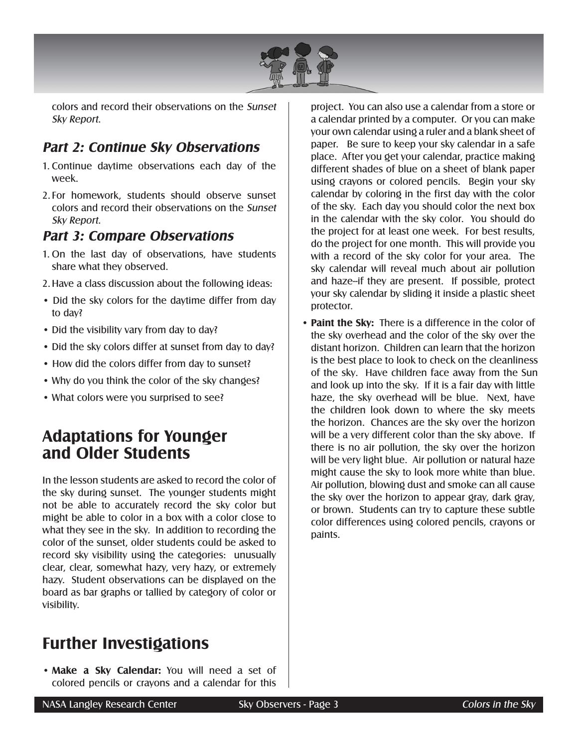

colors and record their observations on the Sunset Sky Report.

#### **Part 2: Continue Sky Observations**

- 1. Continue daytime observations each day of the week.
- 2. For homework, students should observe sunset colors and record their observations on the Sunset Sky Report.

#### **Part 3: Compare Observations**

- 1. On the last day of observations, have students share what they observed.
- 2.Have a class discussion about the following ideas:
- Did the sky colors for the daytime differ from day to day?
- Did the visibility vary from day to day?
- Did the sky colors differ at sunset from day to day?
- How did the colors differ from day to sunset?
- Why do you think the color of the sky changes?
- What colors were you surprised to see?

#### **Adaptations for Younger and Older Students**

In the lesson students are asked to record the color of the sky during sunset. The younger students might not be able to accurately record the sky color but might be able to color in a box with a color close to what they see in the sky. In addition to recording the color of the sunset, older students could be asked to record sky visibility using the categories: unusually clear, clear, somewhat hazy, very hazy, or extremely hazy. Student observations can be displayed on the board as bar graphs or tallied by category of color or visibility.

### **Further Investigations**

• **Make a Sky Calendar:** You will need a set of colored pencils or crayons and a calendar for this project. You can also use a calendar from a store or a calendar printed by a computer. Or you can make your own calendar using a ruler and a blank sheet of paper. Be sure to keep your sky calendar in a safe place. After you get your calendar, practice making different shades of blue on a sheet of blank paper using crayons or colored pencils. Begin your sky calendar by coloring in the first day with the color of the sky. Each day you should color the next box in the calendar with the sky color. You should do the project for at least one week. For best results, do the project for one month. This will provide you with a record of the sky color for your area. The sky calendar will reveal much about air pollution and haze--if they are present. If possible, protect your sky calendar by sliding it inside a plastic sheet protector.

• **Paint the Sky:** There is a difference in the color of the sky overhead and the color of the sky over the distant horizon. Children can learn that the horizon is the best place to look to check on the cleanliness of the sky. Have children face away from the Sun and look up into the sky. If it is a fair day with little haze, the sky overhead will be blue. Next, have the children look down to where the sky meets the horizon. Chances are the sky over the horizon will be a very different color than the sky above. If there is no air pollution, the sky over the horizon will be very light blue. Air pollution or natural haze might cause the sky to look more white than blue. Air pollution, blowing dust and smoke can all cause the sky over the horizon to appear gray, dark gray, or brown. Students can try to capture these subtle color differences using colored pencils, crayons or paints.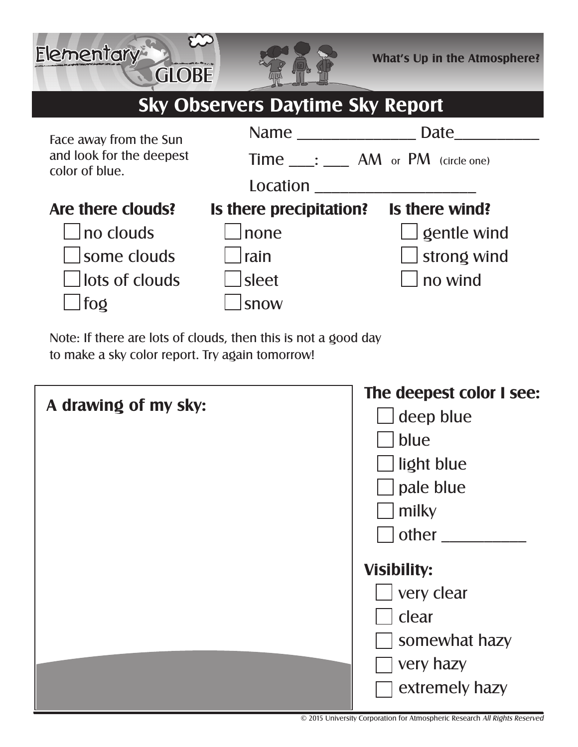

## **Sky Observers Daytime Sky Report**



Note: If there are lots of clouds, then this is not a good day to make a sky color report. Try again tomorrow!

**GLOBE** 

Elementary

| A drawing of my sky: | The deepest color I see: |
|----------------------|--------------------------|
|                      | deep blue                |
|                      | blue                     |
|                      | Iight blue               |
|                      | pale blue                |
|                      | milky                    |
|                      | other                    |
|                      | <b>Visibility:</b>       |
|                      | very clear               |
|                      | clear                    |
|                      | somewhat hazy            |
|                      | very hazy                |
|                      | extremely hazy           |
|                      |                          |